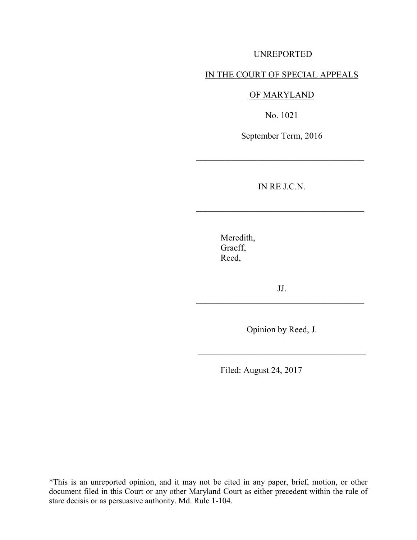### UNREPORTED

### IN THE COURT OF SPECIAL APPEALS

### OF MARYLAND

No. 1021

September Term, 2016

\_\_\_\_\_\_\_\_\_\_\_\_\_\_\_\_\_\_\_\_\_\_\_\_\_\_\_\_\_\_\_\_\_\_\_\_\_\_

IN RE J.C.N.

 $\mathcal{L}_\text{max}$  , where  $\mathcal{L}_\text{max}$  , we are the set of  $\mathcal{L}_\text{max}$ 

Meredith, Graeff, Reed,

JJ. \_\_\_\_\_\_\_\_\_\_\_\_\_\_\_\_\_\_\_\_\_\_\_\_\_\_\_\_\_\_\_\_\_\_\_\_\_\_

Opinion by Reed, J.

\_\_\_\_\_\_\_\_\_\_\_\_\_\_\_\_\_\_\_\_\_\_\_\_\_\_\_\_\_\_\_\_\_\_\_\_\_\_

Filed: August 24, 2017

\*This is an unreported opinion, and it may not be cited in any paper, brief, motion, or other document filed in this Court or any other Maryland Court as either precedent within the rule of stare decisis or as persuasive authority. Md. Rule 1-104.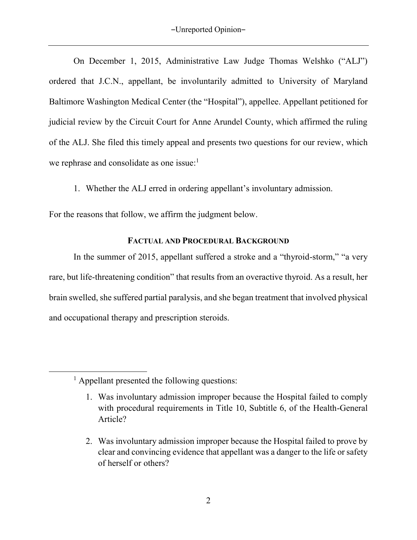On December 1, 2015, Administrative Law Judge Thomas Welshko ("ALJ") ordered that J.C.N., appellant, be involuntarily admitted to University of Maryland Baltimore Washington Medical Center (the "Hospital"), appellee. Appellant petitioned for judicial review by the Circuit Court for Anne Arundel County, which affirmed the ruling of the ALJ. She filed this timely appeal and presents two questions for our review, which we rephrase and consolidate as one issue:<sup>1</sup>

1. Whether the ALJ erred in ordering appellant's involuntary admission.

For the reasons that follow, we affirm the judgment below.

# **FACTUAL AND PROCEDURAL BACKGROUND**

In the summer of 2015, appellant suffered a stroke and a "thyroid-storm," "a very rare, but life-threatening condition" that results from an overactive thyroid. As a result, her brain swelled, she suffered partial paralysis, and she began treatment that involved physical and occupational therapy and prescription steroids.

l

<sup>&</sup>lt;sup>1</sup> Appellant presented the following questions:

<sup>1.</sup> Was involuntary admission improper because the Hospital failed to comply with procedural requirements in Title 10, Subtitle 6, of the Health-General Article?

<sup>2.</sup> Was involuntary admission improper because the Hospital failed to prove by clear and convincing evidence that appellant was a danger to the life or safety of herself or others?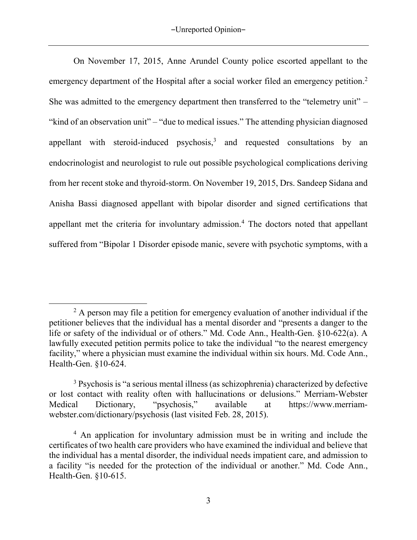On November 17, 2015, Anne Arundel County police escorted appellant to the emergency department of the Hospital after a social worker filed an emergency petition.<sup>2</sup> She was admitted to the emergency department then transferred to the "telemetry unit" – "kind of an observation unit" – "due to medical issues." The attending physician diagnosed appellant with steroid-induced psychosis, $3$  and requested consultations by an endocrinologist and neurologist to rule out possible psychological complications deriving from her recent stoke and thyroid-storm. On November 19, 2015, Drs. Sandeep Sidana and Anisha Bassi diagnosed appellant with bipolar disorder and signed certifications that appellant met the criteria for involuntary admission.<sup>4</sup> The doctors noted that appellant suffered from "Bipolar 1 Disorder episode manic, severe with psychotic symptoms, with a

 $\overline{\phantom{a}}$  $2$  A person may file a petition for emergency evaluation of another individual if the petitioner believes that the individual has a mental disorder and "presents a danger to the life or safety of the individual or of others." Md. Code Ann., Health-Gen. §10-622(a). A lawfully executed petition permits police to take the individual "to the nearest emergency facility," where a physician must examine the individual within six hours. Md. Code Ann., Health-Gen. §10-624.

<sup>&</sup>lt;sup>3</sup> Psychosis is "a serious mental illness (as schizophrenia) characterized by defective or lost contact with reality often with hallucinations or delusions." Merriam-Webster Medical Dictionary, "psychosis," available at https://www.merriamwebster.com/dictionary/psychosis (last visited Feb. 28, 2015).

<sup>&</sup>lt;sup>4</sup> An application for involuntary admission must be in writing and include the certificates of two health care providers who have examined the individual and believe that the individual has a mental disorder, the individual needs impatient care, and admission to a facility "is needed for the protection of the individual or another." Md. Code Ann., Health-Gen. §10-615.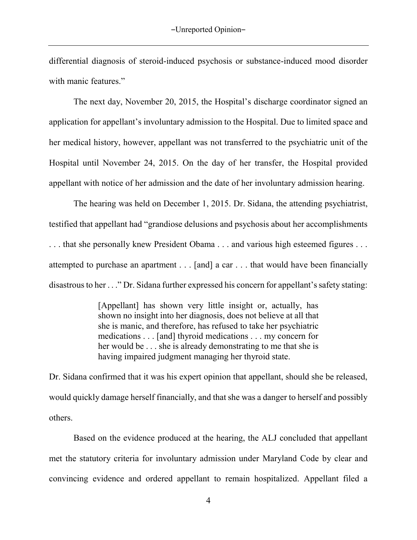differential diagnosis of steroid-induced psychosis or substance-induced mood disorder with manic features."

 The next day, November 20, 2015, the Hospital's discharge coordinator signed an application for appellant's involuntary admission to the Hospital. Due to limited space and her medical history, however, appellant was not transferred to the psychiatric unit of the Hospital until November 24, 2015. On the day of her transfer, the Hospital provided appellant with notice of her admission and the date of her involuntary admission hearing.

 The hearing was held on December 1, 2015. Dr. Sidana, the attending psychiatrist, testified that appellant had "grandiose delusions and psychosis about her accomplishments . . . that she personally knew President Obama . . . and various high esteemed figures . . . attempted to purchase an apartment . . . [and] a car . . . that would have been financially disastrous to her . . ." Dr. Sidana further expressed his concern for appellant's safety stating:

> [Appellant] has shown very little insight or, actually, has shown no insight into her diagnosis, does not believe at all that she is manic, and therefore, has refused to take her psychiatric medications . . . [and] thyroid medications . . . my concern for her would be . . . she is already demonstrating to me that she is having impaired judgment managing her thyroid state.

Dr. Sidana confirmed that it was his expert opinion that appellant, should she be released, would quickly damage herself financially, and that she was a danger to herself and possibly others.

Based on the evidence produced at the hearing, the ALJ concluded that appellant met the statutory criteria for involuntary admission under Maryland Code by clear and convincing evidence and ordered appellant to remain hospitalized. Appellant filed a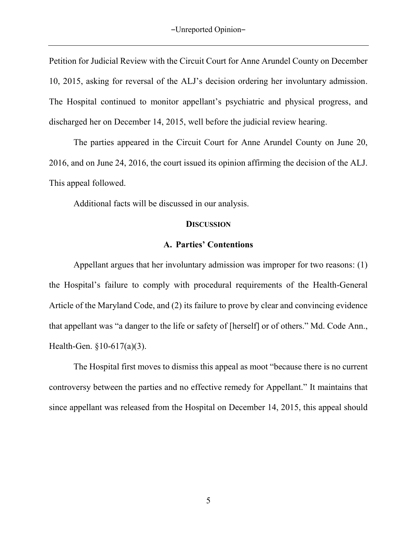Petition for Judicial Review with the Circuit Court for Anne Arundel County on December 10, 2015, asking for reversal of the ALJ's decision ordering her involuntary admission. The Hospital continued to monitor appellant's psychiatric and physical progress, and discharged her on December 14, 2015, well before the judicial review hearing.

The parties appeared in the Circuit Court for Anne Arundel County on June 20, 2016, and on June 24, 2016, the court issued its opinion affirming the decision of the ALJ. This appeal followed.

Additional facts will be discussed in our analysis.

#### **DISCUSSION**

### **A. Parties' Contentions**

Appellant argues that her involuntary admission was improper for two reasons: (1) the Hospital's failure to comply with procedural requirements of the Health-General Article of the Maryland Code, and (2) its failure to prove by clear and convincing evidence that appellant was "a danger to the life or safety of [herself] or of others." Md. Code Ann., Health-Gen. §10-617(a)(3).

The Hospital first moves to dismiss this appeal as moot "because there is no current controversy between the parties and no effective remedy for Appellant." It maintains that since appellant was released from the Hospital on December 14, 2015, this appeal should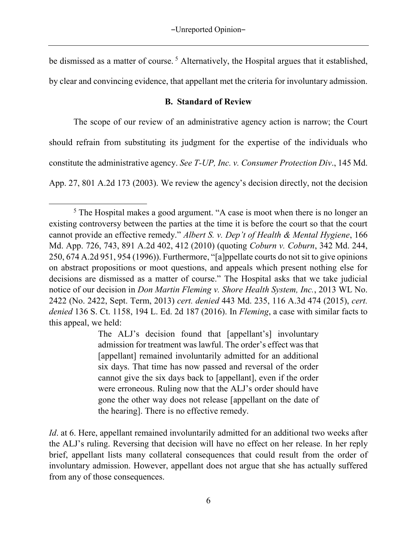be dismissed as a matter of course.<sup>5</sup> Alternatively, the Hospital argues that it established,

by clear and convincing evidence, that appellant met the criteria for involuntary admission.

# **B. Standard of Review**

The scope of our review of an administrative agency action is narrow; the Court

should refrain from substituting its judgment for the expertise of the individuals who

constitute the administrative agency. *See T-UP, Inc. v. Consumer Protection Div*., 145 Md.

App. 27, 801 A.2d 173 (2003). We review the agency's decision directly, not the decision

The ALJ's decision found that [appellant's] involuntary admission for treatment was lawful. The order's effect was that [appellant] remained involuntarily admitted for an additional six days. That time has now passed and reversal of the order cannot give the six days back to [appellant], even if the order were erroneous. Ruling now that the ALJ's order should have gone the other way does not release [appellant on the date of the hearing]. There is no effective remedy.

*Id*. at 6. Here, appellant remained involuntarily admitted for an additional two weeks after the ALJ's ruling. Reversing that decision will have no effect on her release. In her reply brief, appellant lists many collateral consequences that could result from the order of involuntary admission. However, appellant does not argue that she has actually suffered from any of those consequences.

l <sup>5</sup> The Hospital makes a good argument. "A case is moot when there is no longer an existing controversy between the parties at the time it is before the court so that the court cannot provide an effective remedy." *Albert S. v. Dep't of Health & Mental Hygiene*, 166 Md. App. 726, 743, 891 A.2d 402, 412 (2010) (quoting *Coburn v. Coburn*, 342 Md. 244, 250, 674 A.2d 951, 954 (1996)). Furthermore, "[a]ppellate courts do not sit to give opinions on abstract propositions or moot questions, and appeals which present nothing else for decisions are dismissed as a matter of course." The Hospital asks that we take judicial notice of our decision in *Don Martin Fleming v. Shore Health System, Inc.*, 2013 WL No. 2422 (No. 2422, Sept. Term, 2013) *cert. denied* 443 Md. 235, 116 A.3d 474 (2015), *cert. denied* 136 S. Ct. 1158, 194 L. Ed. 2d 187 (2016). In *Fleming*, a case with similar facts to this appeal, we held: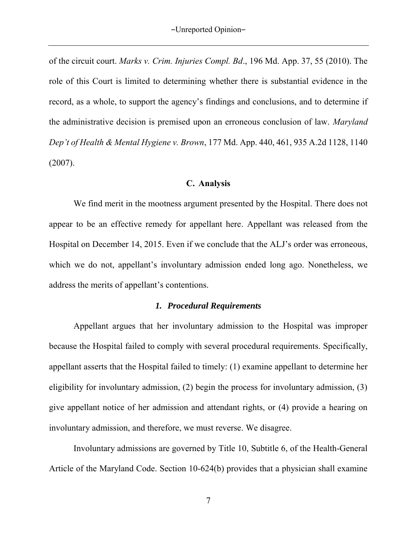of the circuit court. *Marks v. Crim. Injuries Compl. Bd*., 196 Md. App. 37, 55 (2010). The role of this Court is limited to determining whether there is substantial evidence in the record, as a whole, to support the agency's findings and conclusions, and to determine if the administrative decision is premised upon an erroneous conclusion of law. *Maryland Dep't of Health & Mental Hygiene v. Brown*, 177 Md. App. 440, 461, 935 A.2d 1128, 1140 (2007).

# **C. Analysis**

We find merit in the mootness argument presented by the Hospital. There does not appear to be an effective remedy for appellant here. Appellant was released from the Hospital on December 14, 2015. Even if we conclude that the ALJ's order was erroneous, which we do not, appellant's involuntary admission ended long ago. Nonetheless, we address the merits of appellant's contentions.

# *1. Procedural Requirements*

Appellant argues that her involuntary admission to the Hospital was improper because the Hospital failed to comply with several procedural requirements. Specifically, appellant asserts that the Hospital failed to timely: (1) examine appellant to determine her eligibility for involuntary admission, (2) begin the process for involuntary admission, (3) give appellant notice of her admission and attendant rights, or (4) provide a hearing on involuntary admission, and therefore, we must reverse. We disagree.

Involuntary admissions are governed by Title 10, Subtitle 6, of the Health-General Article of the Maryland Code. Section 10-624(b) provides that a physician shall examine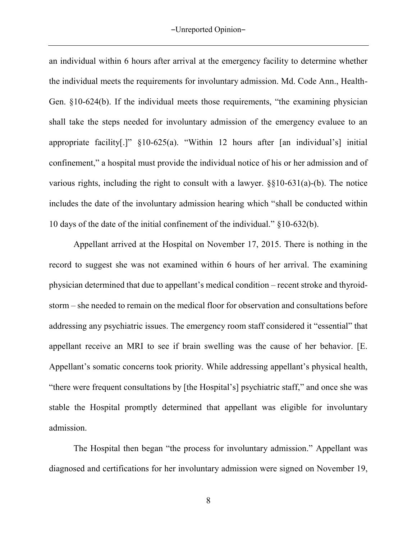an individual within 6 hours after arrival at the emergency facility to determine whether the individual meets the requirements for involuntary admission. Md. Code Ann., Health-Gen. §10-624(b). If the individual meets those requirements, "the examining physician shall take the steps needed for involuntary admission of the emergency evaluee to an appropriate facility[.]" §10-625(a). "Within 12 hours after [an individual's] initial confinement," a hospital must provide the individual notice of his or her admission and of various rights, including the right to consult with a lawyer. §§10-631(a)-(b). The notice includes the date of the involuntary admission hearing which "shall be conducted within 10 days of the date of the initial confinement of the individual." §10-632(b).

Appellant arrived at the Hospital on November 17, 2015. There is nothing in the record to suggest she was not examined within 6 hours of her arrival. The examining physician determined that due to appellant's medical condition – recent stroke and thyroidstorm – she needed to remain on the medical floor for observation and consultations before addressing any psychiatric issues. The emergency room staff considered it "essential" that appellant receive an MRI to see if brain swelling was the cause of her behavior. [E. Appellant's somatic concerns took priority. While addressing appellant's physical health, "there were frequent consultations by [the Hospital's] psychiatric staff," and once she was stable the Hospital promptly determined that appellant was eligible for involuntary admission.

The Hospital then began "the process for involuntary admission." Appellant was diagnosed and certifications for her involuntary admission were signed on November 19,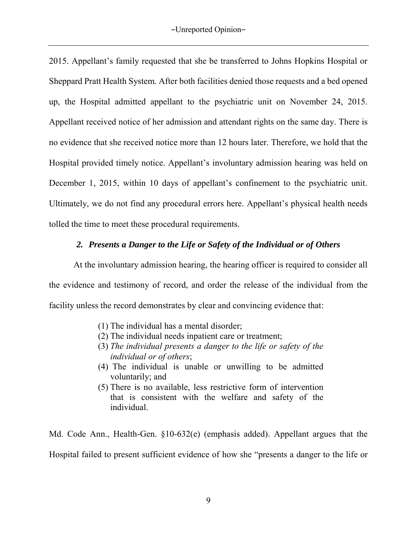2015. Appellant's family requested that she be transferred to Johns Hopkins Hospital or Sheppard Pratt Health System. After both facilities denied those requests and a bed opened up, the Hospital admitted appellant to the psychiatric unit on November 24, 2015. Appellant received notice of her admission and attendant rights on the same day. There is no evidence that she received notice more than 12 hours later. Therefore, we hold that the Hospital provided timely notice. Appellant's involuntary admission hearing was held on December 1, 2015, within 10 days of appellant's confinement to the psychiatric unit. Ultimately, we do not find any procedural errors here. Appellant's physical health needs tolled the time to meet these procedural requirements.

# *2. Presents a Danger to the Life or Safety of the Individual or of Others*

At the involuntary admission hearing, the hearing officer is required to consider all the evidence and testimony of record, and order the release of the individual from the facility unless the record demonstrates by clear and convincing evidence that:

- (1) The individual has a mental disorder;
- (2) The individual needs inpatient care or treatment;
- (3) *The individual presents a danger to the life or safety of the individual or of others*;
- (4) The individual is unable or unwilling to be admitted voluntarily; and
- (5) There is no available, less restrictive form of intervention that is consistent with the welfare and safety of the individual.

Md. Code Ann., Health-Gen. §10-632(e) (emphasis added). Appellant argues that the Hospital failed to present sufficient evidence of how she "presents a danger to the life or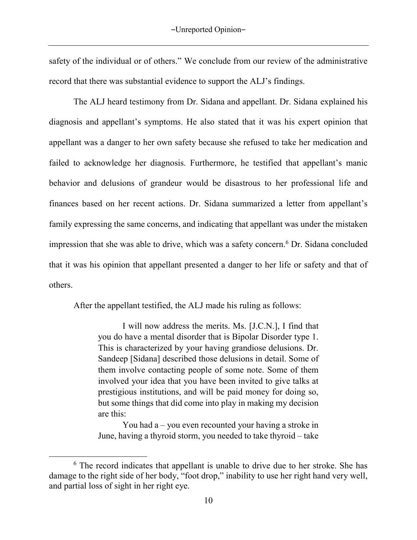safety of the individual or of others." We conclude from our review of the administrative record that there was substantial evidence to support the ALJ's findings.

The ALJ heard testimony from Dr. Sidana and appellant. Dr. Sidana explained his diagnosis and appellant's symptoms. He also stated that it was his expert opinion that appellant was a danger to her own safety because she refused to take her medication and failed to acknowledge her diagnosis. Furthermore, he testified that appellant's manic behavior and delusions of grandeur would be disastrous to her professional life and finances based on her recent actions. Dr. Sidana summarized a letter from appellant's family expressing the same concerns, and indicating that appellant was under the mistaken impression that she was able to drive, which was a safety concern.<sup>6</sup> Dr. Sidana concluded that it was his opinion that appellant presented a danger to her life or safety and that of others.

After the appellant testified, the ALJ made his ruling as follows:

I will now address the merits. Ms. [J.C.N.], I find that you do have a mental disorder that is Bipolar Disorder type 1. This is characterized by your having grandiose delusions. Dr. Sandeep [Sidana] described those delusions in detail. Some of them involve contacting people of some note. Some of them involved your idea that you have been invited to give talks at prestigious institutions, and will be paid money for doing so, but some things that did come into play in making my decision are this:

 You had a – you even recounted your having a stroke in June, having a thyroid storm, you needed to take thyroid – take

 $\overline{\phantom{a}}$ 

<sup>&</sup>lt;sup>6</sup> The record indicates that appellant is unable to drive due to her stroke. She has damage to the right side of her body, "foot drop," inability to use her right hand very well, and partial loss of sight in her right eye.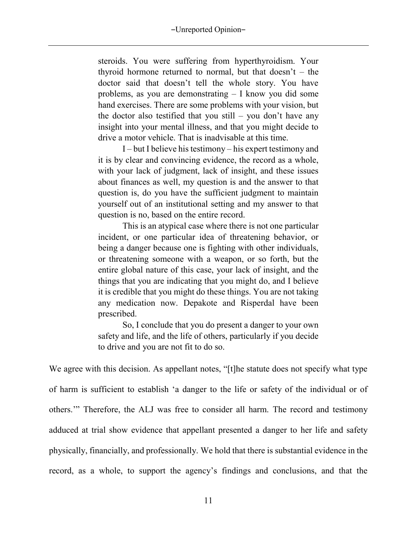#### -Unreported Opinion-

steroids. You were suffering from hyperthyroidism. Your thyroid hormone returned to normal, but that doesn't – the doctor said that doesn't tell the whole story. You have problems, as you are demonstrating – I know you did some hand exercises. There are some problems with your vision, but the doctor also testified that you still – you don't have any insight into your mental illness, and that you might decide to drive a motor vehicle. That is inadvisable at this time.

I – but I believe his testimony – his expert testimony and it is by clear and convincing evidence, the record as a whole, with your lack of judgment, lack of insight, and these issues about finances as well, my question is and the answer to that question is, do you have the sufficient judgment to maintain yourself out of an institutional setting and my answer to that question is no, based on the entire record.

 This is an atypical case where there is not one particular incident, or one particular idea of threatening behavior, or being a danger because one is fighting with other individuals, or threatening someone with a weapon, or so forth, but the entire global nature of this case, your lack of insight, and the things that you are indicating that you might do, and I believe it is credible that you might do these things. You are not taking any medication now. Depakote and Risperdal have been prescribed.

 So, I conclude that you do present a danger to your own safety and life, and the life of others, particularly if you decide to drive and you are not fit to do so.

We agree with this decision. As appellant notes, "[t]he statute does not specify what type of harm is sufficient to establish 'a danger to the life or safety of the individual or of others.'" Therefore, the ALJ was free to consider all harm. The record and testimony adduced at trial show evidence that appellant presented a danger to her life and safety physically, financially, and professionally. We hold that there is substantial evidence in the record, as a whole, to support the agency's findings and conclusions, and that the